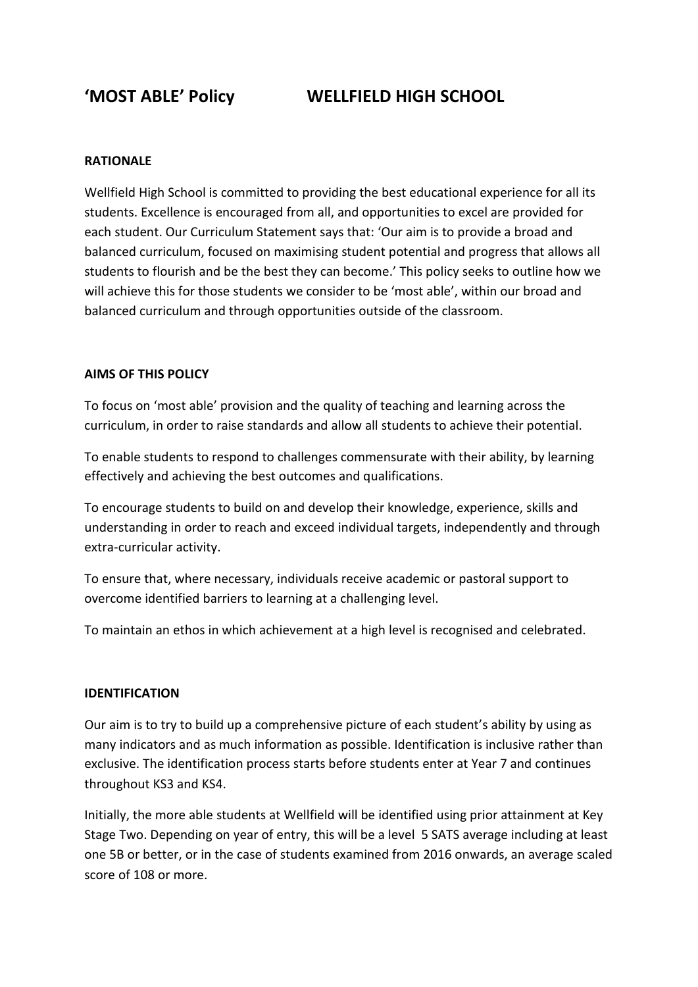**'MOST ABLE' Policy WELLFIELD HIGH SCHOOL**

### **RATIONALE**

Wellfield High School is committed to providing the best educational experience for all its students. Excellence is encouraged from all, and opportunities to excel are provided for each student. Our Curriculum Statement says that: 'Our aim is to provide a broad and balanced curriculum, focused on maximising student potential and progress that allows all students to flourish and be the best they can become.' This policy seeks to outline how we will achieve this for those students we consider to be 'most able', within our broad and balanced curriculum and through opportunities outside of the classroom.

## **AIMS OF THIS POLICY**

To focus on 'most able' provision and the quality of teaching and learning across the curriculum, in order to raise standards and allow all students to achieve their potential.

To enable students to respond to challenges commensurate with their ability, by learning effectively and achieving the best outcomes and qualifications.

To encourage students to build on and develop their knowledge, experience, skills and understanding in order to reach and exceed individual targets, independently and through extra-curricular activity.

To ensure that, where necessary, individuals receive academic or pastoral support to overcome identified barriers to learning at a challenging level.

To maintain an ethos in which achievement at a high level is recognised and celebrated.

#### **IDENTIFICATION**

Our aim is to try to build up a comprehensive picture of each student's ability by using as many indicators and as much information as possible. Identification is inclusive rather than exclusive. The identification process starts before students enter at Year 7 and continues throughout KS3 and KS4.

Initially, the more able students at Wellfield will be identified using prior attainment at Key Stage Two. Depending on year of entry, this will be a level 5 SATS average including at least one 5B or better, or in the case of students examined from 2016 onwards, an average scaled score of 108 or more.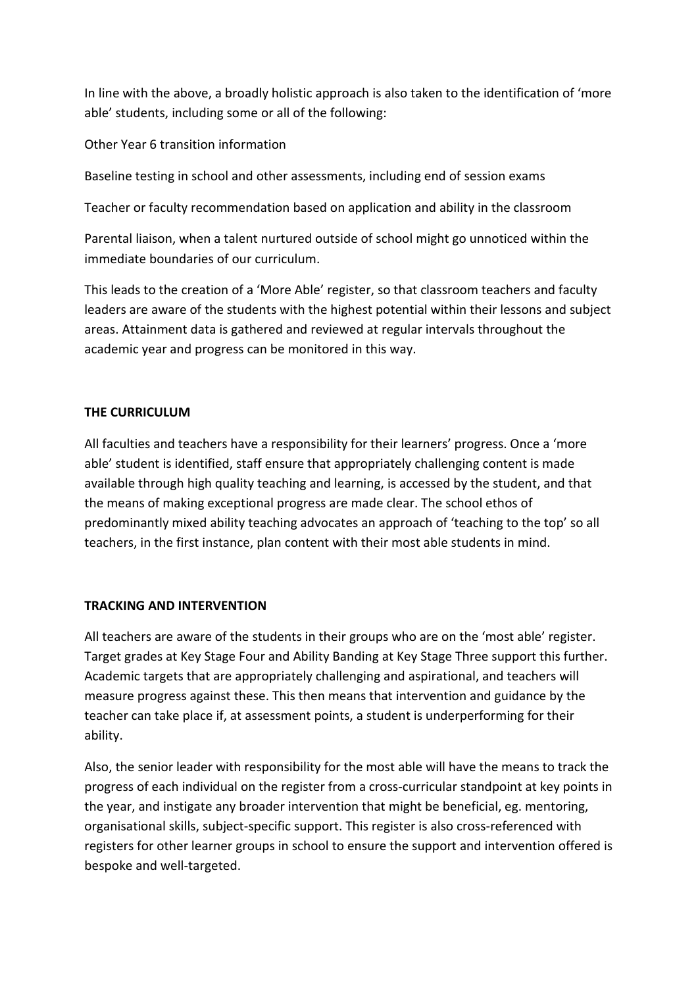In line with the above, a broadly holistic approach is also taken to the identification of 'more able' students, including some or all of the following:

Other Year 6 transition information

Baseline testing in school and other assessments, including end of session exams

Teacher or faculty recommendation based on application and ability in the classroom

Parental liaison, when a talent nurtured outside of school might go unnoticed within the immediate boundaries of our curriculum.

This leads to the creation of a 'More Able' register, so that classroom teachers and faculty leaders are aware of the students with the highest potential within their lessons and subject areas. Attainment data is gathered and reviewed at regular intervals throughout the academic year and progress can be monitored in this way.

# **THE CURRICULUM**

All faculties and teachers have a responsibility for their learners' progress. Once a 'more able' student is identified, staff ensure that appropriately challenging content is made available through high quality teaching and learning, is accessed by the student, and that the means of making exceptional progress are made clear. The school ethos of predominantly mixed ability teaching advocates an approach of 'teaching to the top' so all teachers, in the first instance, plan content with their most able students in mind.

#### **TRACKING AND INTERVENTION**

All teachers are aware of the students in their groups who are on the 'most able' register. Target grades at Key Stage Four and Ability Banding at Key Stage Three support this further. Academic targets that are appropriately challenging and aspirational, and teachers will measure progress against these. This then means that intervention and guidance by the teacher can take place if, at assessment points, a student is underperforming for their ability.

Also, the senior leader with responsibility for the most able will have the means to track the progress of each individual on the register from a cross-curricular standpoint at key points in the year, and instigate any broader intervention that might be beneficial, eg. mentoring, organisational skills, subject-specific support. This register is also cross-referenced with registers for other learner groups in school to ensure the support and intervention offered is bespoke and well-targeted.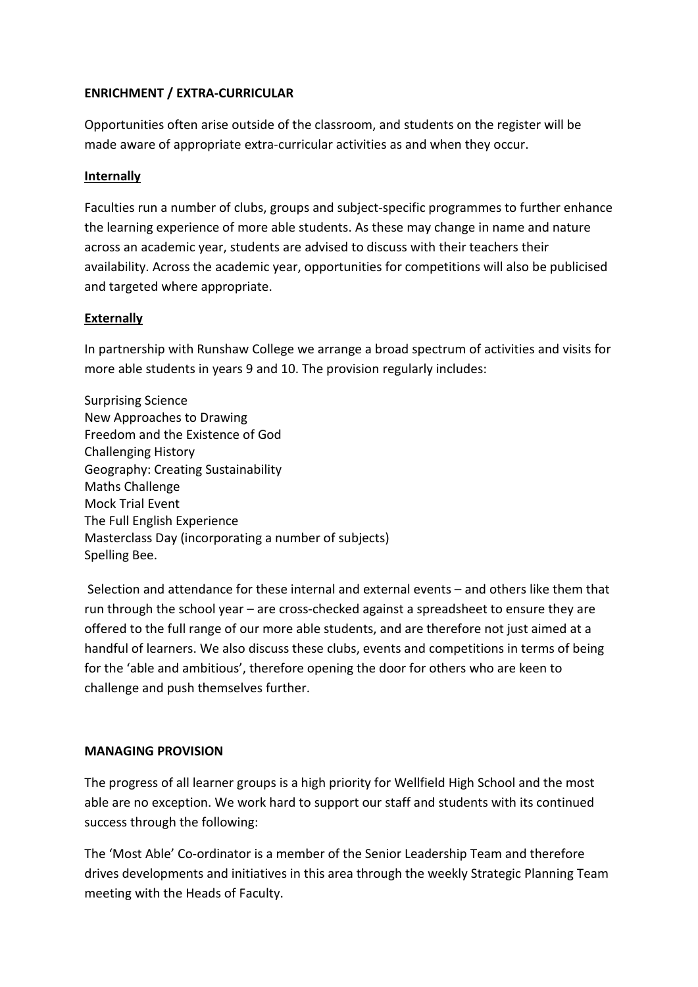# **ENRICHMENT / EXTRA-CURRICULAR**

Opportunities often arise outside of the classroom, and students on the register will be made aware of appropriate extra-curricular activities as and when they occur.

## **Internally**

Faculties run a number of clubs, groups and subject-specific programmes to further enhance the learning experience of more able students. As these may change in name and nature across an academic year, students are advised to discuss with their teachers their availability. Across the academic year, opportunities for competitions will also be publicised and targeted where appropriate.

## **Externally**

In partnership with Runshaw College we arrange a broad spectrum of activities and visits for more able students in years 9 and 10. The provision regularly includes:

Surprising Science New Approaches to Drawing Freedom and the Existence of God Challenging History Geography: Creating Sustainability Maths Challenge Mock Trial Event The Full English Experience Masterclass Day (incorporating a number of subjects) Spelling Bee.

Selection and attendance for these internal and external events – and others like them that run through the school year – are cross-checked against a spreadsheet to ensure they are offered to the full range of our more able students, and are therefore not just aimed at a handful of learners. We also discuss these clubs, events and competitions in terms of being for the 'able and ambitious', therefore opening the door for others who are keen to challenge and push themselves further.

# **MANAGING PROVISION**

The progress of all learner groups is a high priority for Wellfield High School and the most able are no exception. We work hard to support our staff and students with its continued success through the following:

The 'Most Able' Co-ordinator is a member of the Senior Leadership Team and therefore drives developments and initiatives in this area through the weekly Strategic Planning Team meeting with the Heads of Faculty.